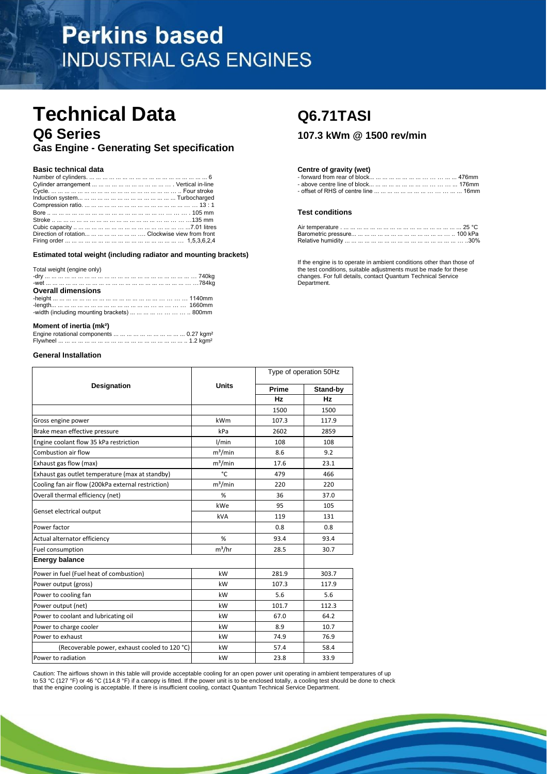# **Perkins based INDUSTRIAL GAS ENGINES**

# **Technical Data** Q6.71TASI **Q6 Series 107.3 kWm @ 1500 rev/min**

**Gas Engine - Generating Set specification** 

|                                                        | <b>Test conditions</b> |
|--------------------------------------------------------|------------------------|
|                                                        |                        |
|                                                        |                        |
| Direction of rotation        Clockwise view from front |                        |
|                                                        |                        |

## **Estimated total weight (including radiator and mounting brackets)**

|                                                                                              | <b>If the only no to to operate in amplem conditions other than those</b> |
|----------------------------------------------------------------------------------------------|---------------------------------------------------------------------------|
| Total weight (engine only)                                                                   | the test conditions, suitable adjustments must be made for these          |
|                                                                                              | changes. For full details, contact Quantum Technical Service              |
|                                                                                              | Department.                                                               |
| <b>Overall dimensions</b>                                                                    |                                                                           |
|                                                                                              |                                                                           |
|                                                                                              |                                                                           |
| -width (including mounting brackets) $\dots \dots \dots \dots \dots \dots \dots \dots$ 800mm |                                                                           |
|                                                                                              |                                                                           |
|                                                                                              |                                                                           |

# **Moment of inertia (mk²)**

## **General Installation**

|                                                    |              | Type of operation 50Hz |           |
|----------------------------------------------------|--------------|------------------------|-----------|
| <b>Designation</b>                                 | <b>Units</b> | Prime                  | Stand-by  |
|                                                    |              | <b>Hz</b>              | <b>Hz</b> |
|                                                    |              | 1500                   | 1500      |
| Gross engine power                                 | kWm          | 107.3                  | 117.9     |
| Brake mean effective pressure                      | kPa          | 2602                   | 2859      |
| Engine coolant flow 35 kPa restriction             | 1/min        | 108                    | 108       |
| Combustion air flow                                | $m^3/m$ in   | 8.6                    | 9.2       |
| Exhaust gas flow (max)                             | $m^3/m$ in   | 17.6                   | 23.1      |
| Exhaust gas outlet temperature (max at standby)    | °C           | 479                    | 466       |
| Cooling fan air flow (200kPa external restriction) | $m^3/m$ in   | 220                    | 220       |
| Overall thermal efficiency (net)                   | %            | 36                     | 37.0      |
|                                                    | kWe          | 95                     | 105       |
| Genset electrical output                           | kVA          | 119                    | 131       |
| Power factor                                       |              | 0.8                    | 0.8       |
| Actual alternator efficiency                       | %            | 93.4                   | 93.4      |
| Fuel consumption                                   | $m^3/hr$     | 28.5                   | 30.7      |
| <b>Energy balance</b>                              |              |                        |           |
| Power in fuel (Fuel heat of combustion)            | kW           | 281.9                  | 303.7     |
| Power output (gross)                               | kW           | 107.3                  | 117.9     |
| Power to cooling fan                               | kW           | 5.6                    | 5.6       |
| Power output (net)                                 | kW           | 101.7                  | 112.3     |
| Power to coolant and lubricating oil               | kW           | 67.0                   | 64.2      |
| Power to charge cooler                             | kW           | 8.9                    | 10.7      |
| Power to exhaust                                   | kW           | 74.9                   | 76.9      |
| (Recoverable power, exhaust cooled to 120 °C)      | kW           | 57.4                   | 58.4      |
| Power to radiation                                 | kW           | 23.8                   | 33.9      |

Caution: The airflows shown in this table will provide acceptable cooling for an open power unit operating in ambient temperatures of up to 53 °C (127 °F) or 46 °C (114.8 °F) if a canopy is fitted. If the power unit is to be enclosed totally, a cooling test should be done to check that the engine cooling is acceptable. If there is insufficient cooling, contact Quantum Technical Service Department.

## **Basic technical data Centre of gravity (wet) Centre of gravity (wet)**

| Numbei            | лнн                       |
|-------------------|---------------------------|
| Cvlinder<br>∍m≙nī | na nt<br>: hlock<br>וזזור |
| Cvcle<br>≞∩⊔⊓.    | 16mm                      |

## **Test conditions**

| Direction of rotation        Clockwise view from front |                   |  |
|--------------------------------------------------------|-------------------|--|
|                                                        | Relative humidity |  |

If the engine is to operate in ambient conditions other than those of Department.